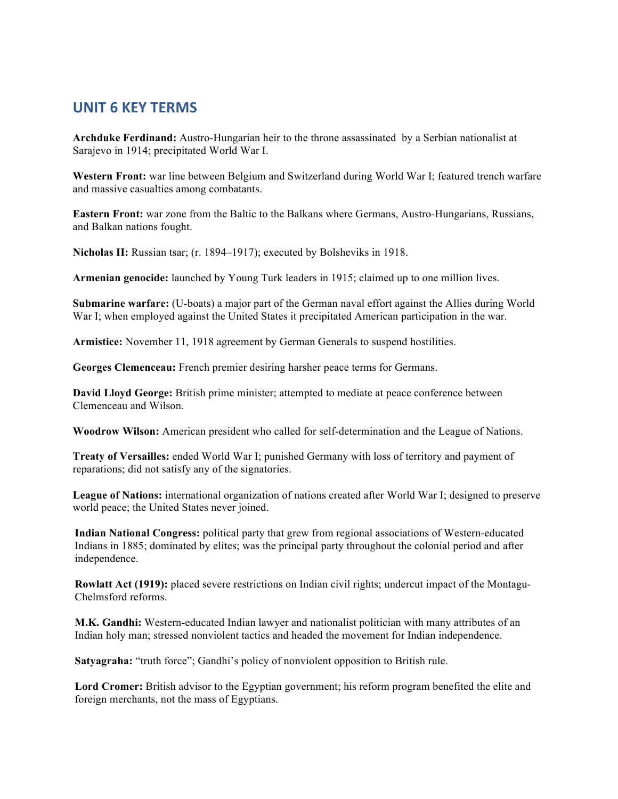## **UNIT 6 KEY TERMS**

**Archduke Ferdinand:** Austro-Hungarian heir to the throne assassinated by a Serbian nationalist at Sarajevo in 1914; precipitated World War I.

**Western Front:** war line between Belgium and Switzerland during World War I; featured trench warfare and massive casualties among combatants.

**Eastern Front:** war zone from the Baltic to the Balkans where Germans, Austro-Hungarians, Russians, and Balkan nations fought.

**Nicholas II:** Russian tsar; (r. 1894–1917); executed by Bolsheviks in 1918.

**Armenian genocide:** launched by Young Turk leaders in 1915; claimed up to one million lives.

**Submarine warfare:** (U-boats) a major part of the German naval effort against the Allies during World War I; when employed against the United States it precipitated American participation in the war.

**Armistice:** November 11, 1918 agreement by German Generals to suspend hostilities.

**Georges Clemenceau:** French premier desiring harsher peace terms for Germans.

**David Lloyd George:** British prime minister; attempted to mediate at peace conference between Clemenceau and Wilson.

**Woodrow Wilson:** American president who called for self-determination and the League of Nations.

**Treaty of Versailles:** ended World War I; punished Germany with loss of territory and payment of reparations; did not satisfy any of the signatories.

**League of Nations:** international organization of nations created after World War I; designed to preserve world peace; the United States never joined.

**Indian National Congress:** political party that grew from regional associations of Western-educated Indians in 1885; dominated by elites; was the principal party throughout the colonial period and after independence.

**Rowlatt Act (1919):** placed severe restrictions on Indian civil rights; undercut impact of the Montagu-Chelmsford reforms.

**M.K. Gandhi:** Western-educated Indian lawyer and nationalist politician with many attributes of an Indian holy man; stressed nonviolent tactics and headed the movement for Indian independence.

**Satyagraha:** "truth force"; Gandhi's policy of nonviolent opposition to British rule.

**Lord Cromer:** British advisor to the Egyptian government; his reform program benefited the elite and foreign merchants, not the mass of Egyptians.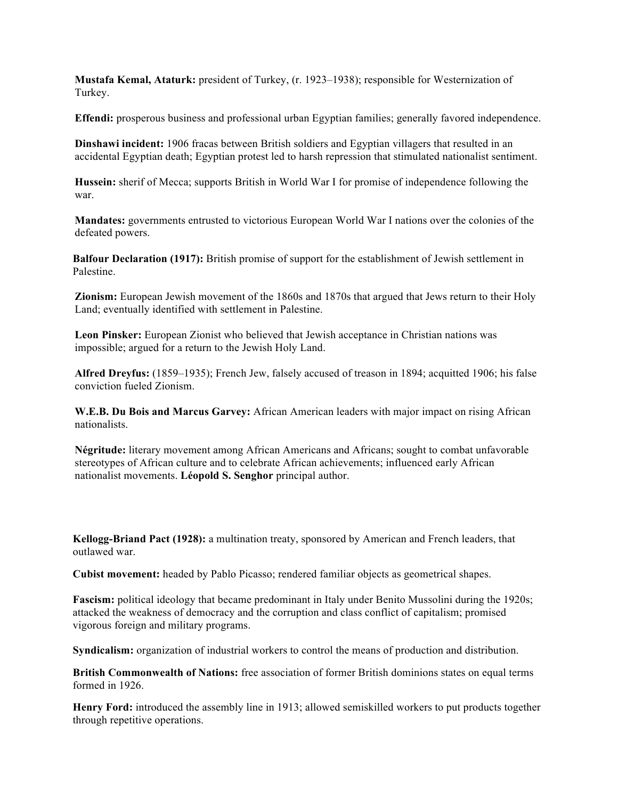**Mustafa Kemal, Ataturk:** president of Turkey, (r. 1923–1938); responsible for Westernization of Turkey.

**Effendi:** prosperous business and professional urban Egyptian families; generally favored independence.

**Dinshawi incident:** 1906 fracas between British soldiers and Egyptian villagers that resulted in an accidental Egyptian death; Egyptian protest led to harsh repression that stimulated nationalist sentiment.

**Hussein:** sherif of Mecca; supports British in World War I for promise of independence following the war.

**Mandates:** governments entrusted to victorious European World War I nations over the colonies of the defeated powers.

**Balfour Declaration (1917):** British promise of support for the establishment of Jewish settlement in Palestine.

**Zionism:** European Jewish movement of the 1860s and 1870s that argued that Jews return to their Holy Land; eventually identified with settlement in Palestine.

**Leon Pinsker:** European Zionist who believed that Jewish acceptance in Christian nations was impossible; argued for a return to the Jewish Holy Land.

**Alfred Dreyfus:** (1859–1935); French Jew, falsely accused of treason in 1894; acquitted 1906; his false conviction fueled Zionism.

**W.E.B. Du Bois and Marcus Garvey:** African American leaders with major impact on rising African nationalists.

**Négritude:** literary movement among African Americans and Africans; sought to combat unfavorable stereotypes of African culture and to celebrate African achievements; influenced early African nationalist movements. **Léopold S. Senghor** principal author.

**Kellogg-Briand Pact (1928):** a multination treaty, sponsored by American and French leaders, that outlawed war.

**Cubist movement:** headed by Pablo Picasso; rendered familiar objects as geometrical shapes.

**Fascism:** political ideology that became predominant in Italy under Benito Mussolini during the 1920s; attacked the weakness of democracy and the corruption and class conflict of capitalism; promised vigorous foreign and military programs.

**Syndicalism:** organization of industrial workers to control the means of production and distribution.

**British Commonwealth of Nations:** free association of former British dominions states on equal terms formed in 1926.

**Henry Ford:** introduced the assembly line in 1913; allowed semiskilled workers to put products together through repetitive operations.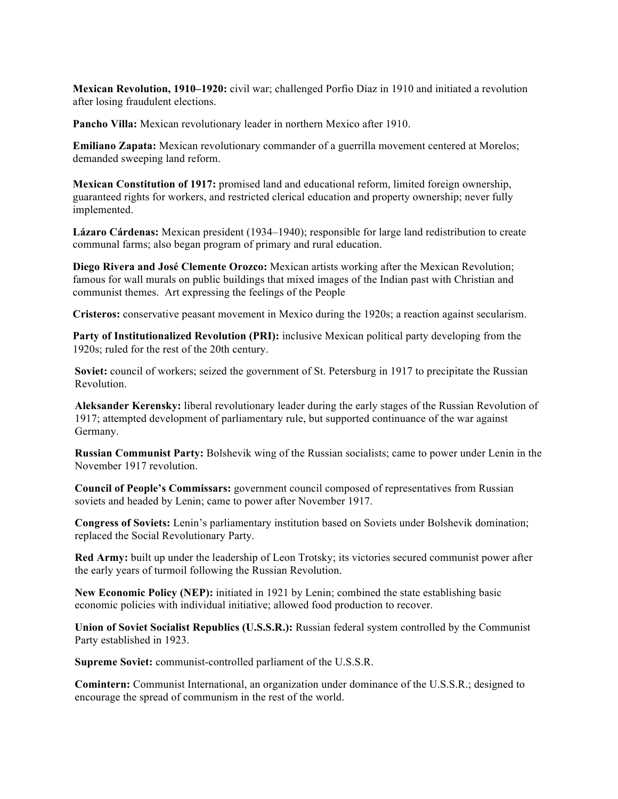**Mexican Revolution, 1910–1920:** civil war; challenged Porfio Díaz in 1910 and initiated a revolution after losing fraudulent elections.

**Pancho Villa:** Mexican revolutionary leader in northern Mexico after 1910.

**Emiliano Zapata:** Mexican revolutionary commander of a guerrilla movement centered at Morelos; demanded sweeping land reform.

**Mexican Constitution of 1917:** promised land and educational reform, limited foreign ownership, guaranteed rights for workers, and restricted clerical education and property ownership; never fully implemented.

**Lázaro Cárdenas:** Mexican president (1934–1940); responsible for large land redistribution to create communal farms; also began program of primary and rural education.

**Diego Rivera and José Clemente Orozco:** Mexican artists working after the Mexican Revolution; famous for wall murals on public buildings that mixed images of the Indian past with Christian and communist themes. Art expressing the feelings of the People

**Cristeros:** conservative peasant movement in Mexico during the 1920s; a reaction against secularism.

**Party of Institutionalized Revolution (PRI):** inclusive Mexican political party developing from the 1920s; ruled for the rest of the 20th century.

**Soviet:** council of workers; seized the government of St. Petersburg in 1917 to precipitate the Russian Revolution.

**Aleksander Kerensky:** liberal revolutionary leader during the early stages of the Russian Revolution of 1917; attempted development of parliamentary rule, but supported continuance of the war against Germany.

**Russian Communist Party:** Bolshevik wing of the Russian socialists; came to power under Lenin in the November 1917 revolution.

**Council of People's Commissars:** government council composed of representatives from Russian soviets and headed by Lenin; came to power after November 1917.

**Congress of Soviets:** Lenin's parliamentary institution based on Soviets under Bolshevik domination; replaced the Social Revolutionary Party.

**Red Army:** built up under the leadership of Leon Trotsky; its victories secured communist power after the early years of turmoil following the Russian Revolution.

**New Economic Policy (NEP):** initiated in 1921 by Lenin; combined the state establishing basic economic policies with individual initiative; allowed food production to recover.

**Union of Soviet Socialist Republics (U.S.S.R.):** Russian federal system controlled by the Communist Party established in 1923.

**Supreme Soviet:** communist-controlled parliament of the U.S.S.R.

**Comintern:** Communist International, an organization under dominance of the U.S.S.R.; designed to encourage the spread of communism in the rest of the world.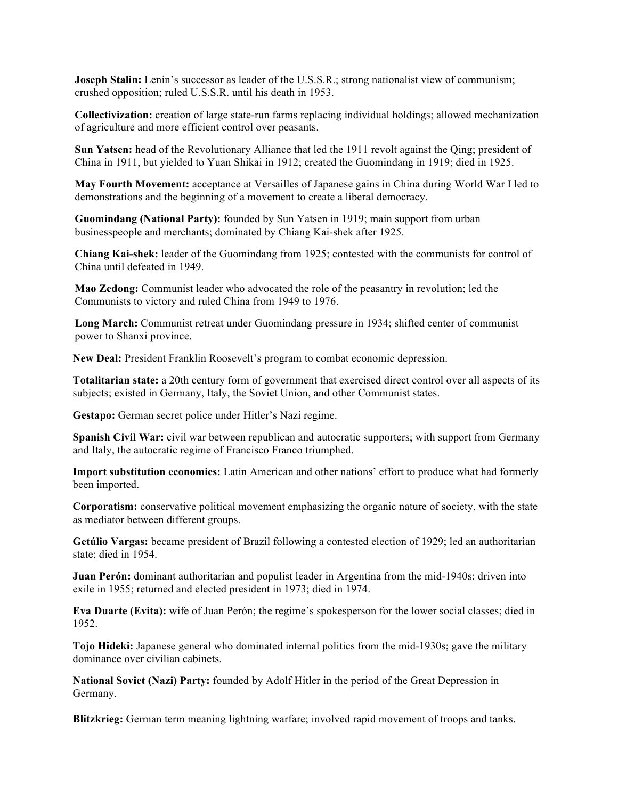**Joseph Stalin:** Lenin's successor as leader of the U.S.S.R.; strong nationalist view of communism; crushed opposition; ruled U.S.S.R. until his death in 1953.

**Collectivization:** creation of large state-run farms replacing individual holdings; allowed mechanization of agriculture and more efficient control over peasants.

**Sun Yatsen:** head of the Revolutionary Alliance that led the 1911 revolt against the Qing; president of China in 1911, but yielded to Yuan Shikai in 1912; created the Guomindang in 1919; died in 1925.

**May Fourth Movement:** acceptance at Versailles of Japanese gains in China during World War I led to demonstrations and the beginning of a movement to create a liberal democracy.

**Guomindang (National Party):** founded by Sun Yatsen in 1919; main support from urban businesspeople and merchants; dominated by Chiang Kai-shek after 1925.

**Chiang Kai-shek:** leader of the Guomindang from 1925; contested with the communists for control of China until defeated in 1949.

**Mao Zedong:** Communist leader who advocated the role of the peasantry in revolution; led the Communists to victory and ruled China from 1949 to 1976.

**Long March:** Communist retreat under Guomindang pressure in 1934; shifted center of communist power to Shanxi province.

**New Deal:** President Franklin Roosevelt's program to combat economic depression.

**Totalitarian state:** a 20th century form of government that exercised direct control over all aspects of its subjects; existed in Germany, Italy, the Soviet Union, and other Communist states.

Gestapo: German secret police under Hitler's Nazi regime.

**Spanish Civil War:** civil war between republican and autocratic supporters; with support from Germany and Italy, the autocratic regime of Francisco Franco triumphed.

**Import substitution economies:** Latin American and other nations' effort to produce what had formerly been imported.

**Corporatism:** conservative political movement emphasizing the organic nature of society, with the state as mediator between different groups.

**Getúlio Vargas:** became president of Brazil following a contested election of 1929; led an authoritarian state; died in 1954.

**Juan Perón:** dominant authoritarian and populist leader in Argentina from the mid-1940s; driven into exile in 1955; returned and elected president in 1973; died in 1974.

**Eva Duarte (Evita):** wife of Juan Perón; the regime's spokesperson for the lower social classes; died in 1952.

**Tojo Hideki:** Japanese general who dominated internal politics from the mid-1930s; gave the military dominance over civilian cabinets.

**National Soviet (Nazi) Party:** founded by Adolf Hitler in the period of the Great Depression in Germany.

**Blitzkrieg:** German term meaning lightning warfare; involved rapid movement of troops and tanks.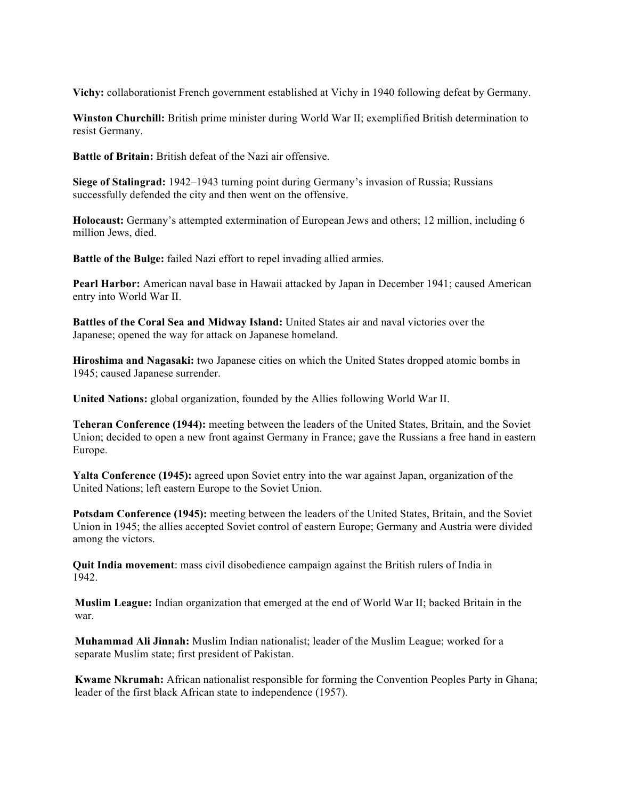**Vichy:** collaborationist French government established at Vichy in 1940 following defeat by Germany.

**Winston Churchill:** British prime minister during World War II; exemplified British determination to resist Germany.

**Battle of Britain:** British defeat of the Nazi air offensive.

**Siege of Stalingrad:** 1942–1943 turning point during Germany's invasion of Russia; Russians successfully defended the city and then went on the offensive.

**Holocaust:** Germany's attempted extermination of European Jews and others; 12 million, including 6 million Jews, died.

**Battle of the Bulge:** failed Nazi effort to repel invading allied armies.

**Pearl Harbor:** American naval base in Hawaii attacked by Japan in December 1941; caused American entry into World War II.

**Battles of the Coral Sea and Midway Island:** United States air and naval victories over the Japanese; opened the way for attack on Japanese homeland.

**Hiroshima and Nagasaki:** two Japanese cities on which the United States dropped atomic bombs in 1945; caused Japanese surrender.

**United Nations:** global organization, founded by the Allies following World War II.

**Teheran Conference (1944):** meeting between the leaders of the United States, Britain, and the Soviet Union; decided to open a new front against Germany in France; gave the Russians a free hand in eastern Europe.

**Yalta Conference (1945):** agreed upon Soviet entry into the war against Japan, organization of the United Nations; left eastern Europe to the Soviet Union.

**Potsdam Conference (1945):** meeting between the leaders of the United States, Britain, and the Soviet Union in 1945; the allies accepted Soviet control of eastern Europe; Germany and Austria were divided among the victors.

**Quit India movement**: mass civil disobedience campaign against the British rulers of India in 1942.

**Muslim League:** Indian organization that emerged at the end of World War II; backed Britain in the war.

**Muhammad Ali Jinnah:** Muslim Indian nationalist; leader of the Muslim League; worked for a separate Muslim state; first president of Pakistan.

**Kwame Nkrumah:** African nationalist responsible for forming the Convention Peoples Party in Ghana; leader of the first black African state to independence (1957).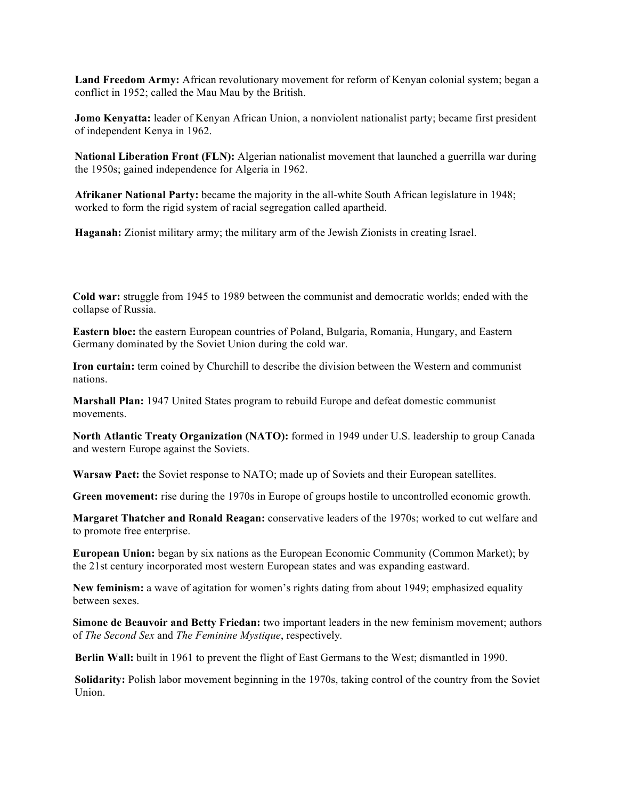**Land Freedom Army:** African revolutionary movement for reform of Kenyan colonial system; began a conflict in 1952; called the Mau Mau by the British.

**Jomo Kenyatta:** leader of Kenyan African Union, a nonviolent nationalist party; became first president of independent Kenya in 1962.

**National Liberation Front (FLN):** Algerian nationalist movement that launched a guerrilla war during the 1950s; gained independence for Algeria in 1962.

**Afrikaner National Party:** became the majority in the all-white South African legislature in 1948; worked to form the rigid system of racial segregation called apartheid.

**Haganah:** Zionist military army; the military arm of the Jewish Zionists in creating Israel.

**Cold war:** struggle from 1945 to 1989 between the communist and democratic worlds; ended with the collapse of Russia.

**Eastern bloc:** the eastern European countries of Poland, Bulgaria, Romania, Hungary, and Eastern Germany dominated by the Soviet Union during the cold war.

**Iron curtain:** term coined by Churchill to describe the division between the Western and communist nations.

**Marshall Plan:** 1947 United States program to rebuild Europe and defeat domestic communist movements.

**North Atlantic Treaty Organization (NATO):** formed in 1949 under U.S. leadership to group Canada and western Europe against the Soviets.

**Warsaw Pact:** the Soviet response to NATO; made up of Soviets and their European satellites.

**Green movement:** rise during the 1970s in Europe of groups hostile to uncontrolled economic growth.

**Margaret Thatcher and Ronald Reagan:** conservative leaders of the 1970s; worked to cut welfare and to promote free enterprise.

**European Union:** began by six nations as the European Economic Community (Common Market); by the 21st century incorporated most western European states and was expanding eastward.

**New feminism:** a wave of agitation for women's rights dating from about 1949; emphasized equality between sexes.

**Simone de Beauvoir and Betty Friedan:** two important leaders in the new feminism movement; authors of *The Second Sex* and *The Feminine Mystique*, respectively*.*

**Berlin Wall:** built in 1961 to prevent the flight of East Germans to the West; dismantled in 1990.

**Solidarity:** Polish labor movement beginning in the 1970s, taking control of the country from the Soviet Union.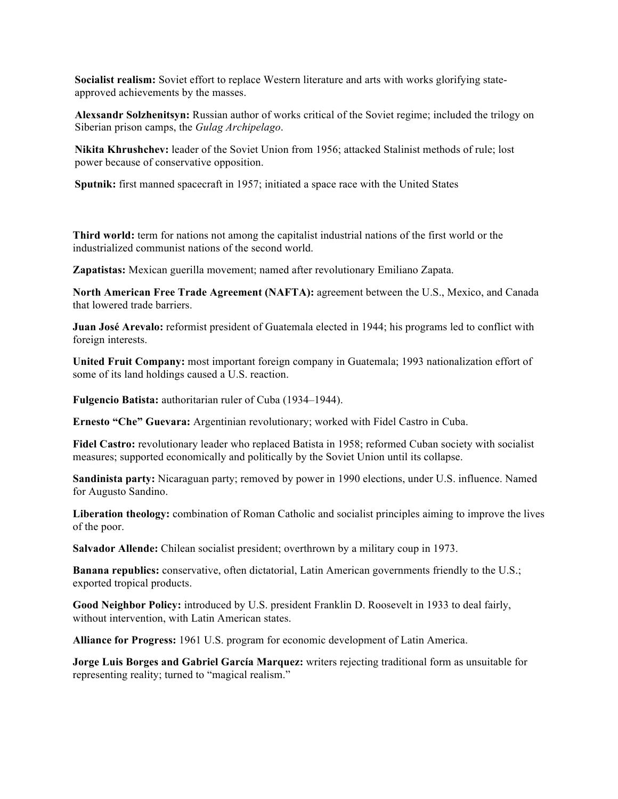**Socialist realism:** Soviet effort to replace Western literature and arts with works glorifying stateapproved achievements by the masses.

**Alexsandr Solzhenitsyn:** Russian author of works critical of the Soviet regime; included the trilogy on Siberian prison camps, the *Gulag Archipelago*.

**Nikita Khrushchev:** leader of the Soviet Union from 1956; attacked Stalinist methods of rule; lost power because of conservative opposition.

**Sputnik:** first manned spacecraft in 1957; initiated a space race with the United States

**Third world:** term for nations not among the capitalist industrial nations of the first world or the industrialized communist nations of the second world.

**Zapatistas:** Mexican guerilla movement; named after revolutionary Emiliano Zapata.

**North American Free Trade Agreement (NAFTA):** agreement between the U.S., Mexico, and Canada that lowered trade barriers.

**Juan José Arevalo:** reformist president of Guatemala elected in 1944; his programs led to conflict with foreign interests.

**United Fruit Company:** most important foreign company in Guatemala; 1993 nationalization effort of some of its land holdings caused a U.S. reaction.

**Fulgencio Batista:** authoritarian ruler of Cuba (1934–1944).

**Ernesto "Che" Guevara:** Argentinian revolutionary; worked with Fidel Castro in Cuba.

Fidel Castro: revolutionary leader who replaced Batista in 1958; reformed Cuban society with socialist measures; supported economically and politically by the Soviet Union until its collapse.

**Sandinista party:** Nicaraguan party; removed by power in 1990 elections, under U.S. influence. Named for Augusto Sandino.

**Liberation theology:** combination of Roman Catholic and socialist principles aiming to improve the lives of the poor.

**Salvador Allende:** Chilean socialist president; overthrown by a military coup in 1973.

**Banana republics:** conservative, often dictatorial, Latin American governments friendly to the U.S.; exported tropical products.

**Good Neighbor Policy:** introduced by U.S. president Franklin D. Roosevelt in 1933 to deal fairly, without intervention, with Latin American states.

**Alliance for Progress:** 1961 U.S. program for economic development of Latin America.

**Jorge Luis Borges and Gabriel García Marquez:** writers rejecting traditional form as unsuitable for representing reality; turned to "magical realism."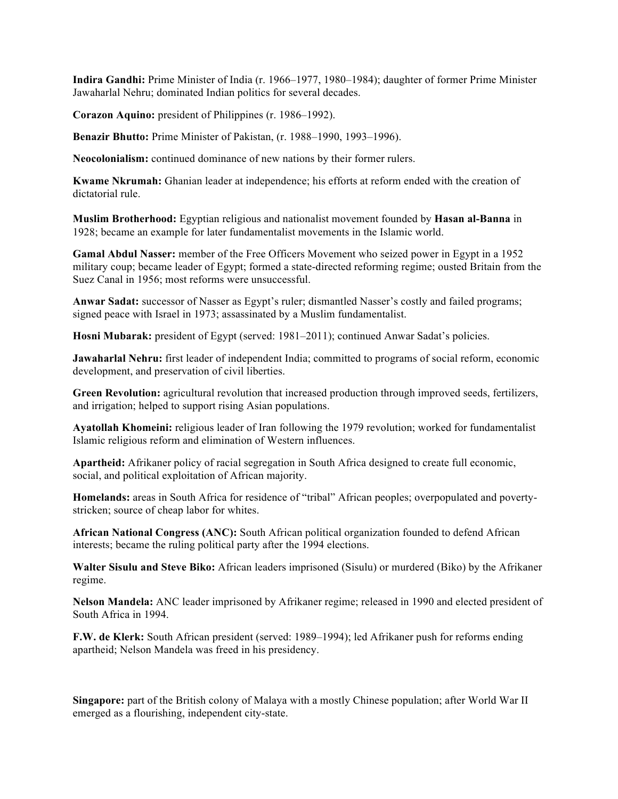**Indira Gandhi:** Prime Minister of India (r. 1966–1977, 1980–1984); daughter of former Prime Minister Jawaharlal Nehru; dominated Indian politics for several decades.

**Corazon Aquino:** president of Philippines (r. 1986–1992).

**Benazir Bhutto:** Prime Minister of Pakistan, (r. 1988–1990, 1993–1996).

**Neocolonialism:** continued dominance of new nations by their former rulers.

**Kwame Nkrumah:** Ghanian leader at independence; his efforts at reform ended with the creation of dictatorial rule.

**Muslim Brotherhood:** Egyptian religious and nationalist movement founded by **Hasan al-Banna** in 1928; became an example for later fundamentalist movements in the Islamic world.

**Gamal Abdul Nasser:** member of the Free Officers Movement who seized power in Egypt in a 1952 military coup; became leader of Egypt; formed a state-directed reforming regime; ousted Britain from the Suez Canal in 1956; most reforms were unsuccessful.

**Anwar Sadat:** successor of Nasser as Egypt's ruler; dismantled Nasser's costly and failed programs; signed peace with Israel in 1973; assassinated by a Muslim fundamentalist.

**Hosni Mubarak:** president of Egypt (served: 1981–2011); continued Anwar Sadat's policies.

**Jawaharlal Nehru:** first leader of independent India; committed to programs of social reform, economic development, and preservation of civil liberties.

**Green Revolution:** agricultural revolution that increased production through improved seeds, fertilizers, and irrigation; helped to support rising Asian populations.

**Ayatollah Khomeini:** religious leader of Iran following the 1979 revolution; worked for fundamentalist Islamic religious reform and elimination of Western influences.

**Apartheid:** Afrikaner policy of racial segregation in South Africa designed to create full economic, social, and political exploitation of African majority.

**Homelands:** areas in South Africa for residence of "tribal" African peoples; overpopulated and povertystricken; source of cheap labor for whites.

**African National Congress (ANC):** South African political organization founded to defend African interests; became the ruling political party after the 1994 elections.

**Walter Sisulu and Steve Biko:** African leaders imprisoned (Sisulu) or murdered (Biko) by the Afrikaner regime.

**Nelson Mandela:** ANC leader imprisoned by Afrikaner regime; released in 1990 and elected president of South Africa in 1994.

**F.W. de Klerk:** South African president (served: 1989–1994); led Afrikaner push for reforms ending apartheid; Nelson Mandela was freed in his presidency.

**Singapore:** part of the British colony of Malaya with a mostly Chinese population; after World War II emerged as a flourishing, independent city-state.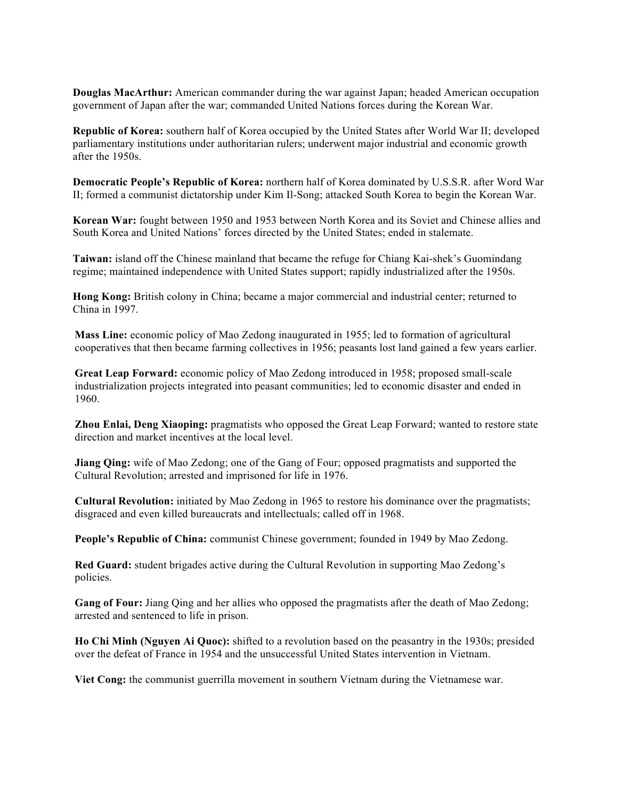**Douglas MacArthur:** American commander during the war against Japan; headed American occupation government of Japan after the war; commanded United Nations forces during the Korean War.

**Republic of Korea:** southern half of Korea occupied by the United States after World War II; developed parliamentary institutions under authoritarian rulers; underwent major industrial and economic growth after the 1950s.

**Democratic People's Republic of Korea:** northern half of Korea dominated by U.S.S.R. after Word War II; formed a communist dictatorship under Kim Il-Song; attacked South Korea to begin the Korean War.

**Korean War:** fought between 1950 and 1953 between North Korea and its Soviet and Chinese allies and South Korea and United Nations' forces directed by the United States; ended in stalemate.

**Taiwan:** island off the Chinese mainland that became the refuge for Chiang Kai-shek's Guomindang regime; maintained independence with United States support; rapidly industrialized after the 1950s.

**Hong Kong:** British colony in China; became a major commercial and industrial center; returned to China in 1997.

**Mass Line:** economic policy of Mao Zedong inaugurated in 1955; led to formation of agricultural cooperatives that then became farming collectives in 1956; peasants lost land gained a few years earlier.

**Great Leap Forward:** economic policy of Mao Zedong introduced in 1958; proposed small-scale industrialization projects integrated into peasant communities; led to economic disaster and ended in 1960.

**Zhou Enlai, Deng Xiaoping:** pragmatists who opposed the Great Leap Forward; wanted to restore state direction and market incentives at the local level.

**Jiang Qing:** wife of Mao Zedong; one of the Gang of Four; opposed pragmatists and supported the Cultural Revolution; arrested and imprisoned for life in 1976.

**Cultural Revolution:** initiated by Mao Zedong in 1965 to restore his dominance over the pragmatists; disgraced and even killed bureaucrats and intellectuals; called off in 1968.

**People's Republic of China:** communist Chinese government; founded in 1949 by Mao Zedong.

**Red Guard:** student brigades active during the Cultural Revolution in supporting Mao Zedong's policies.

**Gang of Four:** Jiang Qing and her allies who opposed the pragmatists after the death of Mao Zedong; arrested and sentenced to life in prison.

**Ho Chi Minh (Nguyen Ai Quoc):** shifted to a revolution based on the peasantry in the 1930s; presided over the defeat of France in 1954 and the unsuccessful United States intervention in Vietnam.

**Viet Cong:** the communist guerrilla movement in southern Vietnam during the Vietnamese war.